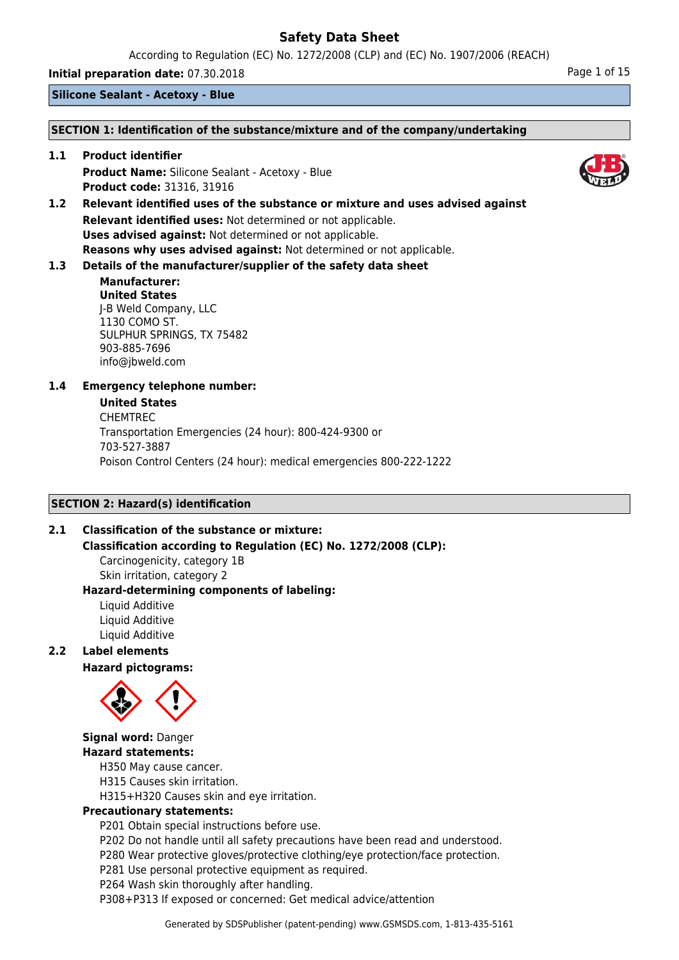According to Regulation (EC) No. 1272/2008 (CLP) and (EC) No. 1907/2006 (REACH)

**Initial preparation date:** 07.30.2018 **Page 1 of 15** 

**Silicone Sealant - Acetoxy - Blue**

### **SECTION 1: Identification of the substance/mixture and of the company/undertaking**

**1.1 Product identifier Product Name:** Silicone Sealant - Acetoxy - Blue **Product code:** 31316, 31916

**1.2 Relevant identified uses of the substance or mixture and uses advised against Relevant identified uses:** Not determined or not applicable. **Uses advised against:** Not determined or not applicable. **Reasons why uses advised against:** Not determined or not applicable.

## **1.3 Details of the manufacturer/supplier of the safety data sheet**

### **Manufacturer: United States** J-B Weld Company, LLC 1130 COMO ST. SULPHUR SPRINGS, TX 75482 903-885-7696 info@jbweld.com

### **1.4 Emergency telephone number:**

### **United States**

CHEMTREC Transportation Emergencies (24 hour): 800-424-9300 or 703-527-3887 Poison Control Centers (24 hour): medical emergencies 800-222-1222

### **SECTION 2: Hazard(s) identification**

### **2.1 Classification of the substance or mixture:**

**Classification according to Regulation (EC) No. 1272/2008 (CLP):**

Carcinogenicity, category 1B Skin irritation, category 2

#### **Hazard-determining components of labeling:** Liquid Additive

Liquid Additive Liquid Additive

### **2.2 Label elements**

**Hazard pictograms:**



### **Signal word:** Danger **Hazard statements:**

H350 May cause cancer.

H315 Causes skin irritation.

H315+H320 Causes skin and eye irritation.

### **Precautionary statements:**

P201 Obtain special instructions before use.

P202 Do not handle until all safety precautions have been read and understood.

P280 Wear protective gloves/protective clothing/eye protection/face protection.

P281 Use personal protective equipment as required.

P264 Wash skin thoroughly after handling.

P308+P313 If exposed or concerned: Get medical advice/attention

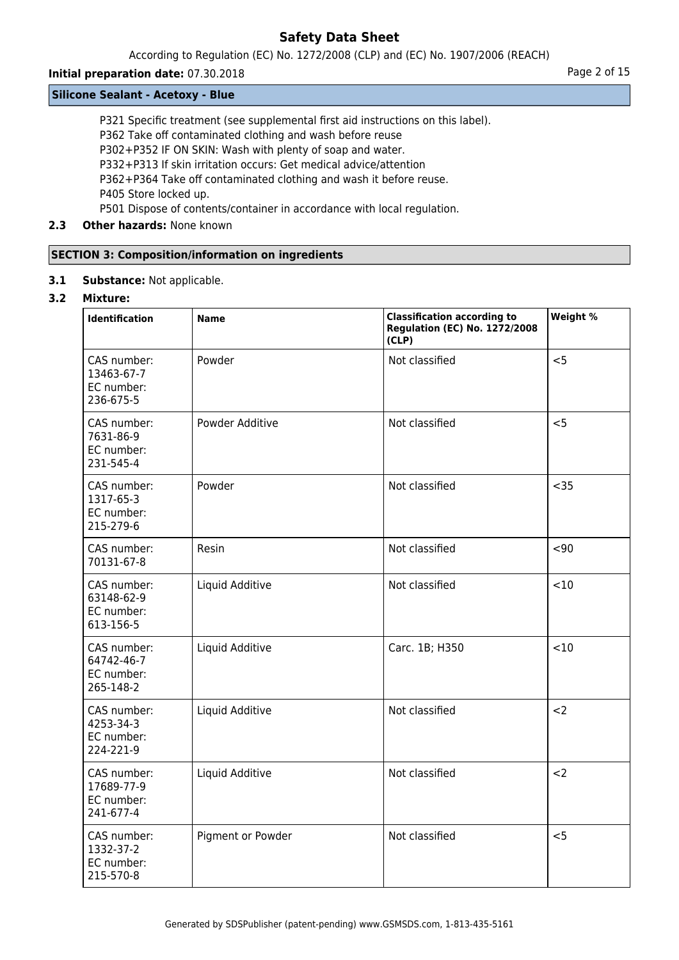According to Regulation (EC) No. 1272/2008 (CLP) and (EC) No. 1907/2006 (REACH)

### **Initial preparation date:** 07.30.2018 **Page 2 of 15**

### **Silicone Sealant - Acetoxy - Blue**

P321 Specific treatment (see supplemental first aid instructions on this label).

P362 Take off contaminated clothing and wash before reuse

P302+P352 IF ON SKIN: Wash with plenty of soap and water.

P332+P313 If skin irritation occurs: Get medical advice/attention

P362+P364 Take off contaminated clothing and wash it before reuse.

P405 Store locked up.

P501 Dispose of contents/container in accordance with local regulation.

## **2.3 Other hazards:** None known

### **SECTION 3: Composition/information on ingredients**

**3.1 Substance:** Not applicable.

### **3.2 Mixture:**

| <b>Identification</b>                                | <b>Name</b>       | <b>Classification according to</b><br><b>Regulation (EC) No. 1272/2008</b><br>(CLP) | Weight % |
|------------------------------------------------------|-------------------|-------------------------------------------------------------------------------------|----------|
| CAS number:<br>13463-67-7<br>EC number:<br>236-675-5 | Powder            | Not classified                                                                      | < 5      |
| CAS number:<br>7631-86-9<br>EC number:<br>231-545-4  | Powder Additive   | Not classified                                                                      | < 5      |
| CAS number:<br>1317-65-3<br>EC number:<br>215-279-6  | Powder            | Not classified                                                                      | $35$     |
| CAS number:<br>70131-67-8                            | Resin             | Not classified                                                                      | $90$     |
| CAS number:<br>63148-62-9<br>EC number:<br>613-156-5 | Liquid Additive   | Not classified                                                                      | <10      |
| CAS number:<br>64742-46-7<br>EC number:<br>265-148-2 | Liquid Additive   | Carc. 1B; H350                                                                      | < 10     |
| CAS number:<br>4253-34-3<br>EC number:<br>224-221-9  | Liquid Additive   | Not classified                                                                      | $2$      |
| CAS number:<br>17689-77-9<br>EC number:<br>241-677-4 | Liquid Additive   | Not classified                                                                      | $2$      |
| CAS number:<br>1332-37-2<br>EC number:<br>215-570-8  | Pigment or Powder | Not classified                                                                      | < 5      |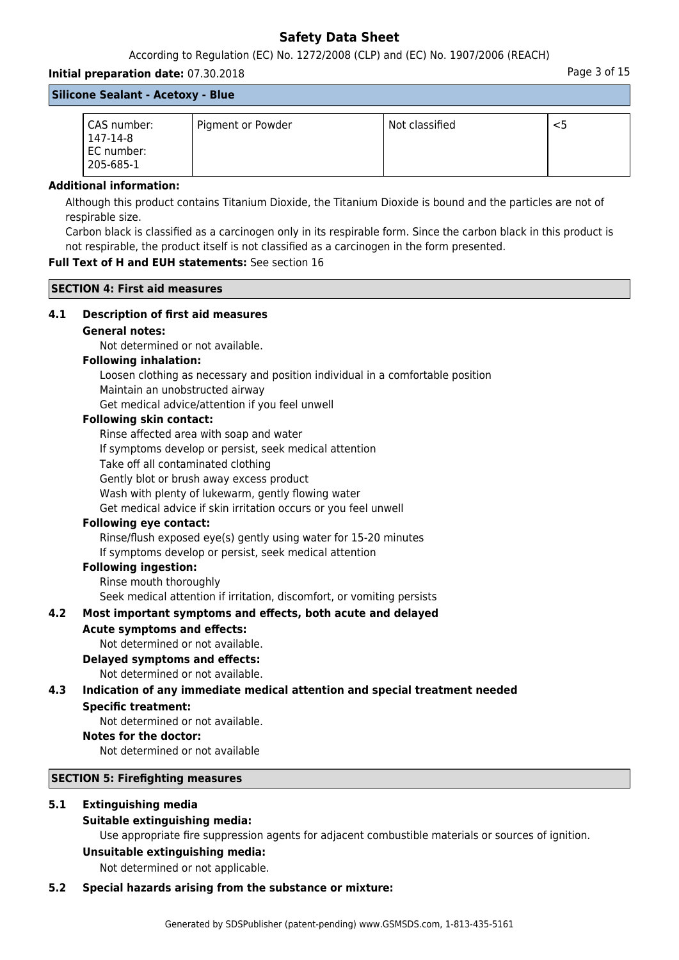According to Regulation (EC) No. 1272/2008 (CLP) and (EC) No. 1907/2006 (REACH)

### **Initial preparation date:** 07.30.2018 **Page 3 of 15** and the page 3 of 15

| <b>Silicone Sealant - Acetoxy - Blue</b>           |                   |                |    |
|----------------------------------------------------|-------------------|----------------|----|
| CAS number:<br>147-14-8<br>EC number:<br>205-685-1 | Pigment or Powder | Not classified | <5 |

#### **Additional information:**

Although this product contains Titanium Dioxide, the Titanium Dioxide is bound and the particles are not of respirable size.

Carbon black is classified as a carcinogen only in its respirable form. Since the carbon black in this product is not respirable, the product itself is not classified as a carcinogen in the form presented.

### **Full Text of H and EUH statements:** See section 16

**SECTION 4: First aid measures**

### **4.1 Description of first aid measures**

### **General notes:**

Not determined or not available.

#### **Following inhalation:**

Loosen clothing as necessary and position individual in a comfortable position Maintain an unobstructed airway

Get medical advice/attention if you feel unwell

### **Following skin contact:**

Rinse affected area with soap and water

If symptoms develop or persist, seek medical attention

Take off all contaminated clothing

Gently blot or brush away excess product

Wash with plenty of lukewarm, gently flowing water

Get medical advice if skin irritation occurs or you feel unwell

#### **Following eye contact:**

Rinse/flush exposed eye(s) gently using water for 15-20 minutes If symptoms develop or persist, seek medical attention

### **Following ingestion:**

Rinse mouth thoroughly

Seek medical attention if irritation, discomfort, or vomiting persists

### **4.2 Most important symptoms and effects, both acute and delayed**

#### **Acute symptoms and effects:**

Not determined or not available.

#### **Delayed symptoms and effects:**

Not determined or not available.

# **4.3 Indication of any immediate medical attention and special treatment needed**

### **Specific treatment:**

Not determined or not available.

#### **Notes for the doctor:**

Not determined or not available

#### **SECTION 5: Firefighting measures**

### **5.1 Extinguishing media**

#### **Suitable extinguishing media:**

Use appropriate fire suppression agents for adjacent combustible materials or sources of ignition.

#### **Unsuitable extinguishing media:**

Not determined or not applicable.

#### **5.2 Special hazards arising from the substance or mixture:**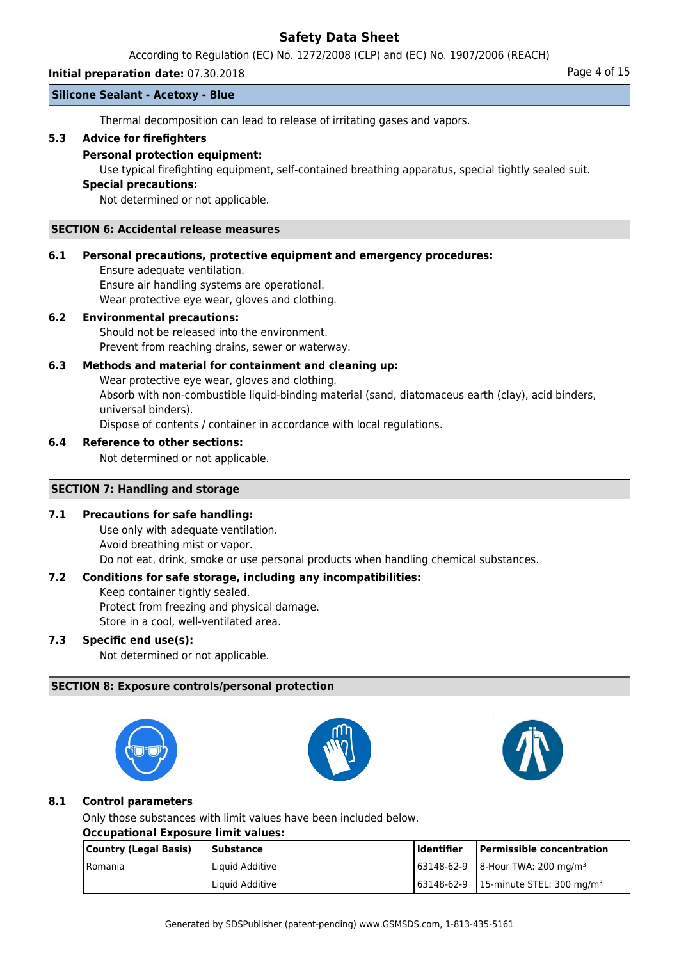According to Regulation (EC) No. 1272/2008 (CLP) and (EC) No. 1907/2006 (REACH)

### **Initial preparation date:** 07.30.2018 **Page 4 of 15**

### **Silicone Sealant - Acetoxy - Blue**

Thermal decomposition can lead to release of irritating gases and vapors.

### **5.3 Advice for firefighters**

### **Personal protection equipment:**

Use typical firefighting equipment, self-contained breathing apparatus, special tightly sealed suit.

### **Special precautions:**

Not determined or not applicable.

#### **SECTION 6: Accidental release measures**

### **6.1 Personal precautions, protective equipment and emergency procedures:**

Ensure adequate ventilation. Ensure air handling systems are operational. Wear protective eye wear, gloves and clothing.

### **6.2 Environmental precautions:**

Should not be released into the environment. Prevent from reaching drains, sewer or waterway.

### **6.3 Methods and material for containment and cleaning up:**

Wear protective eye wear, gloves and clothing. Absorb with non-combustible liquid-binding material (sand, diatomaceus earth (clay), acid binders, universal binders). Dispose of contents / container in accordance with local regulations.

### **6.4 Reference to other sections:**

Not determined or not applicable.

### **SECTION 7: Handling and storage**

### **7.1 Precautions for safe handling:**

Use only with adequate ventilation. Avoid breathing mist or vapor. Do not eat, drink, smoke or use personal products when handling chemical substances.

### **7.2 Conditions for safe storage, including any incompatibilities:**

Keep container tightly sealed. Protect from freezing and physical damage.

Store in a cool, well-ventilated area.

### **7.3 Specific end use(s):**

Not determined or not applicable.

### **SECTION 8: Exposure controls/personal protection**







### **8.1 Control parameters**

Only those substances with limit values have been included below.

#### **Occupational Exposure limit values:**

| Country (Legal Basis) | Substance       | l Identifier | Permissible concentration                                   |
|-----------------------|-----------------|--------------|-------------------------------------------------------------|
| l Romania             | Liquid Additive |              | $\frac{163148-62-9}{8}$   8-Hour TWA: 200 mg/m <sup>3</sup> |
|                       | Liquid Additive |              | $163148-62-9$   15-minute STEL: 300 mg/m <sup>3</sup>       |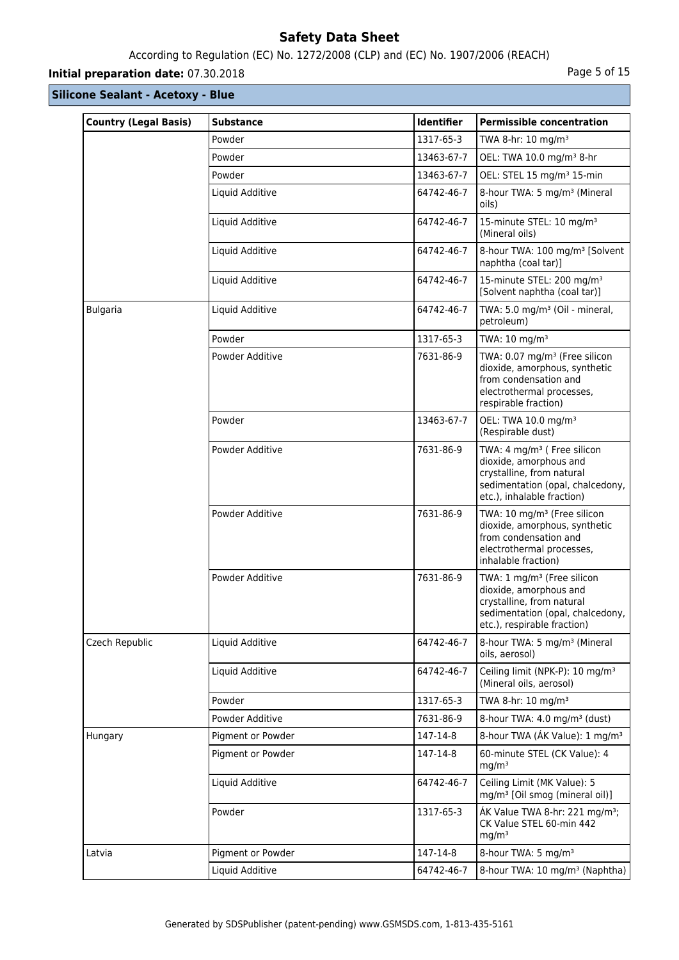## According to Regulation (EC) No. 1272/2008 (CLP) and (EC) No. 1907/2006 (REACH)

## **Initial preparation date:** 07.30.2018 **Page 1 and 2018** Page 5 of 15

| <b>Country (Legal Basis)</b> | <b>Substance</b>  | <b>Identifier</b> | <b>Permissible concentration</b>                                                                                                                                 |
|------------------------------|-------------------|-------------------|------------------------------------------------------------------------------------------------------------------------------------------------------------------|
|                              | Powder            | 1317-65-3         | TWA 8-hr: 10 mg/m <sup>3</sup>                                                                                                                                   |
|                              | Powder            | 13463-67-7        | OEL: TWA 10.0 mg/m <sup>3</sup> 8-hr                                                                                                                             |
|                              | Powder            | 13463-67-7        | OEL: STEL 15 mg/m <sup>3</sup> 15-min                                                                                                                            |
|                              | Liquid Additive   | 64742-46-7        | 8-hour TWA: 5 mg/m <sup>3</sup> (Mineral<br>oils)                                                                                                                |
|                              | Liquid Additive   | 64742-46-7        | 15-minute STEL: 10 mg/m <sup>3</sup><br>(Mineral oils)                                                                                                           |
|                              | Liquid Additive   | 64742-46-7        | 8-hour TWA: 100 mg/m <sup>3</sup> [Solvent<br>naphtha (coal tar)]                                                                                                |
|                              | Liquid Additive   | 64742-46-7        | 15-minute STEL: 200 mg/m <sup>3</sup><br>[Solvent naphtha (coal tar)]                                                                                            |
| <b>Bulgaria</b>              | Liquid Additive   | 64742-46-7        | TWA: 5.0 mg/m <sup>3</sup> (Oil - mineral,<br>petroleum)                                                                                                         |
|                              | Powder            | 1317-65-3         | TWA: 10 mg/m <sup>3</sup>                                                                                                                                        |
|                              | Powder Additive   | 7631-86-9         | TWA: 0.07 mg/m <sup>3</sup> (Free silicon<br>dioxide, amorphous, synthetic<br>from condensation and<br>electrothermal processes,<br>respirable fraction)         |
|                              | Powder            | 13463-67-7        | OEL: TWA 10.0 mg/m <sup>3</sup><br>(Respirable dust)                                                                                                             |
|                              | Powder Additive   | 7631-86-9         | TWA: 4 mg/m <sup>3</sup> ( Free silicon<br>dioxide, amorphous and<br>crystalline, from natural<br>sedimentation (opal, chalcedony,<br>etc.), inhalable fraction) |
|                              | Powder Additive   | 7631-86-9         | TWA: 10 mg/m <sup>3</sup> (Free silicon<br>dioxide, amorphous, synthetic<br>from condensation and<br>electrothermal processes,<br>inhalable fraction)            |
|                              | Powder Additive   | 7631-86-9         | TWA: 1 mg/m <sup>3</sup> (Free silicon<br>dioxide, amorphous and<br>crystalline, from natural<br>sedimentation (opal, chalcedony,<br>etc.), respirable fraction) |
| Czech Republic               | Liquid Additive   | 64742-46-7        | 8-hour TWA: 5 mg/m <sup>3</sup> (Mineral<br>oils, aerosol)                                                                                                       |
|                              | Liquid Additive   | 64742-46-7        | Ceiling limit (NPK-P): 10 mg/m <sup>3</sup><br>(Mineral oils, aerosol)                                                                                           |
|                              | Powder            | 1317-65-3         | TWA 8-hr: 10 mg/m <sup>3</sup>                                                                                                                                   |
|                              | Powder Additive   | 7631-86-9         | 8-hour TWA: 4.0 mg/m <sup>3</sup> (dust)                                                                                                                         |
| Hungary                      | Pigment or Powder | 147-14-8          | 8-hour TWA (AK Value): 1 mg/m <sup>3</sup>                                                                                                                       |
|                              | Pigment or Powder | 147-14-8          | 60-minute STEL (CK Value): 4<br>mq/m <sup>3</sup>                                                                                                                |
|                              | Liquid Additive   | 64742-46-7        | Ceiling Limit (MK Value): 5<br>mg/m <sup>3</sup> [Oil smog (mineral oil)]                                                                                        |
|                              | Powder            | 1317-65-3         | ÁK Value TWA 8-hr: 221 mg/m <sup>3</sup> ;<br>CK Value STEL 60-min 442<br>mg/m <sup>3</sup>                                                                      |
| Latvia                       | Pigment or Powder | 147-14-8          | 8-hour TWA: 5 mg/m <sup>3</sup>                                                                                                                                  |
|                              | Liquid Additive   | 64742-46-7        | 8-hour TWA: 10 mg/m <sup>3</sup> (Naphtha)                                                                                                                       |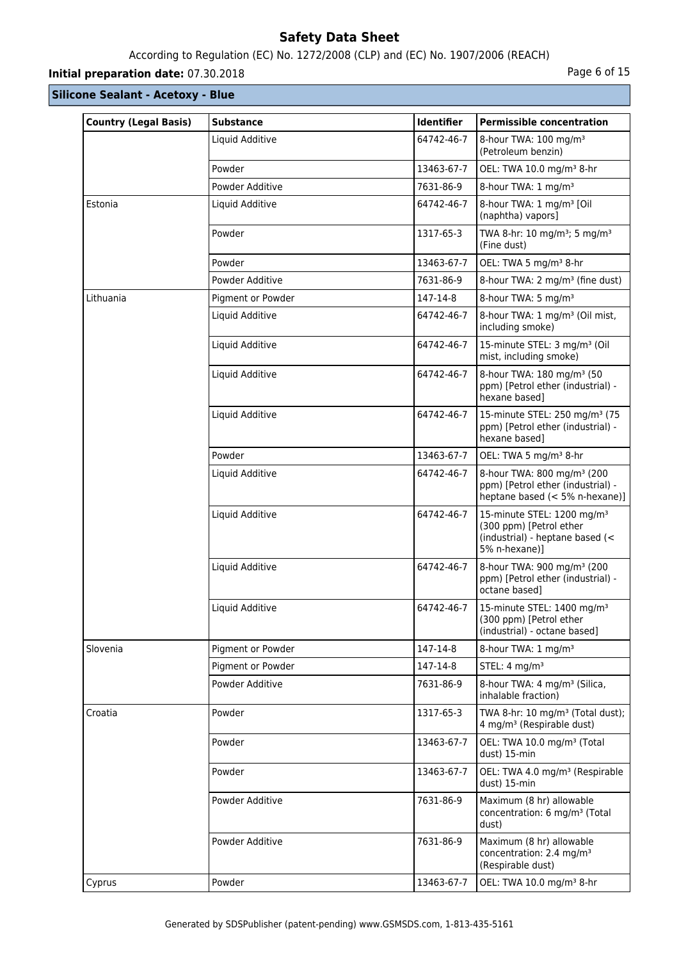## According to Regulation (EC) No. 1272/2008 (CLP) and (EC) No. 1907/2006 (REACH)

## **Initial preparation date:** 07.30.2018 **Page 6 of 15**

| <b>Country (Legal Basis)</b> | <b>Substance</b>  | Identifier | <b>Permissible concentration</b>                                                                                      |
|------------------------------|-------------------|------------|-----------------------------------------------------------------------------------------------------------------------|
|                              | Liquid Additive   | 64742-46-7 | 8-hour TWA: 100 mg/m <sup>3</sup><br>(Petroleum benzin)                                                               |
|                              | Powder            | 13463-67-7 | OEL: TWA 10.0 mg/m <sup>3</sup> 8-hr                                                                                  |
|                              | Powder Additive   | 7631-86-9  | 8-hour TWA: 1 mg/m <sup>3</sup>                                                                                       |
| Estonia                      | Liquid Additive   | 64742-46-7 | 8-hour TWA: 1 mg/m <sup>3</sup> [Oil<br>(naphtha) vapors]                                                             |
|                              | Powder            | 1317-65-3  | TWA 8-hr: 10 mg/m <sup>3</sup> ; 5 mg/m <sup>3</sup><br>(Fine dust)                                                   |
|                              | Powder            | 13463-67-7 | OEL: TWA 5 mg/m <sup>3</sup> 8-hr                                                                                     |
|                              | Powder Additive   | 7631-86-9  | 8-hour TWA: 2 mg/m <sup>3</sup> (fine dust)                                                                           |
| Lithuania                    | Pigment or Powder | 147-14-8   | 8-hour TWA: 5 mg/m <sup>3</sup>                                                                                       |
|                              | Liquid Additive   | 64742-46-7 | 8-hour TWA: 1 mg/m <sup>3</sup> (Oil mist,<br>including smoke)                                                        |
|                              | Liquid Additive   | 64742-46-7 | 15-minute STEL: 3 mg/m <sup>3</sup> (Oil<br>mist, including smoke)                                                    |
|                              | Liquid Additive   | 64742-46-7 | 8-hour TWA: 180 mg/m <sup>3</sup> (50<br>ppm) [Petrol ether (industrial) -<br>hexane based]                           |
|                              | Liquid Additive   | 64742-46-7 | 15-minute STEL: 250 mg/m <sup>3</sup> (75<br>ppm) [Petrol ether (industrial) -<br>hexane based]                       |
|                              | Powder            | 13463-67-7 | OEL: TWA 5 mg/m <sup>3</sup> 8-hr                                                                                     |
|                              | Liquid Additive   | 64742-46-7 | 8-hour TWA: 800 mg/m <sup>3</sup> (200<br>ppm) [Petrol ether (industrial) -<br>heptane based (< 5% n-hexane)]         |
|                              | Liquid Additive   | 64742-46-7 | 15-minute STEL: 1200 mg/m <sup>3</sup><br>(300 ppm) [Petrol ether<br>(industrial) - heptane based (<<br>5% n-hexane)] |
|                              | Liquid Additive   | 64742-46-7 | 8-hour TWA: 900 mg/m <sup>3</sup> (200<br>ppm) [Petrol ether (industrial) -<br>octane based]                          |
|                              | Liquid Additive   | 64742-46-7 | 15-minute STEL: 1400 mg/m <sup>3</sup><br>(300 ppm) [Petrol ether<br>(industrial) - octane based]                     |
| Slovenia                     | Pigment or Powder | 147-14-8   | 8-hour TWA: 1 mg/m <sup>3</sup>                                                                                       |
|                              | Pigment or Powder | 147-14-8   | STEL: 4 mg/m <sup>3</sup>                                                                                             |
|                              | Powder Additive   | 7631-86-9  | 8-hour TWA: 4 mg/m <sup>3</sup> (Silica,<br>inhalable fraction)                                                       |
| Croatia                      | Powder            | 1317-65-3  | TWA 8-hr: 10 mg/m <sup>3</sup> (Total dust);<br>4 mg/m <sup>3</sup> (Respirable dust)                                 |
|                              | Powder            | 13463-67-7 | OEL: TWA 10.0 mg/m <sup>3</sup> (Total<br>dust) 15-min                                                                |
|                              | Powder            | 13463-67-7 | OEL: TWA 4.0 mg/m <sup>3</sup> (Respirable<br>dust) 15-min                                                            |
|                              | Powder Additive   | 7631-86-9  | Maximum (8 hr) allowable<br>concentration: 6 mg/m <sup>3</sup> (Total<br>dust)                                        |
|                              | Powder Additive   | 7631-86-9  | Maximum (8 hr) allowable<br>concentration: 2.4 mg/m <sup>3</sup><br>(Respirable dust)                                 |
| Cyprus                       | Powder            | 13463-67-7 | OEL: TWA 10.0 mg/m <sup>3</sup> 8-hr                                                                                  |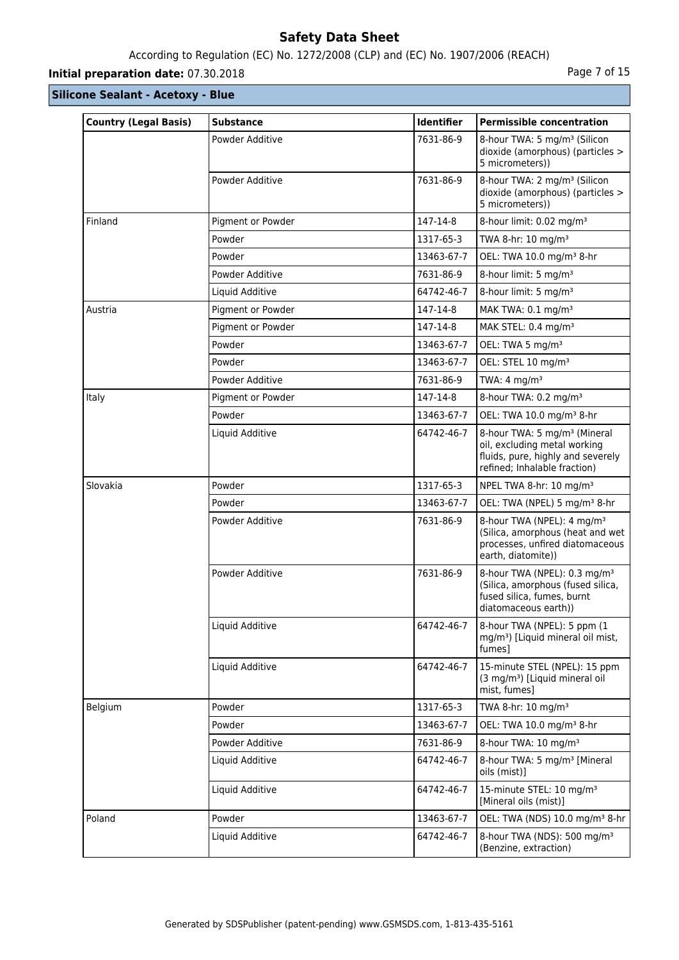## According to Regulation (EC) No. 1272/2008 (CLP) and (EC) No. 1907/2006 (REACH)

## **Initial preparation date:** 07.30.2018 **Page 7 of 15**

| <b>Country (Legal Basis)</b> | <b>Substance</b>  | Identifier | <b>Permissible concentration</b>                                                                                                              |
|------------------------------|-------------------|------------|-----------------------------------------------------------------------------------------------------------------------------------------------|
|                              | Powder Additive   | 7631-86-9  | 8-hour TWA: 5 mg/m <sup>3</sup> (Silicon<br>dioxide (amorphous) (particles ><br>5 micrometers))                                               |
|                              | Powder Additive   | 7631-86-9  | 8-hour TWA: 2 mg/m <sup>3</sup> (Silicon<br>dioxide (amorphous) (particles ><br>5 micrometers))                                               |
| Finland                      | Pigment or Powder | 147-14-8   | 8-hour limit: 0.02 mg/m <sup>3</sup>                                                                                                          |
|                              | Powder            | 1317-65-3  | TWA 8-hr: 10 mg/m <sup>3</sup>                                                                                                                |
|                              | Powder            | 13463-67-7 | OEL: TWA 10.0 mg/m <sup>3</sup> 8-hr                                                                                                          |
|                              | Powder Additive   | 7631-86-9  | 8-hour limit: 5 mg/m <sup>3</sup>                                                                                                             |
|                              | Liquid Additive   | 64742-46-7 | 8-hour limit: 5 mg/m <sup>3</sup>                                                                                                             |
| Austria                      | Pigment or Powder | 147-14-8   | MAK TWA: 0.1 mg/m <sup>3</sup>                                                                                                                |
|                              | Pigment or Powder | 147-14-8   | MAK STEL: 0.4 mg/m <sup>3</sup>                                                                                                               |
|                              | Powder            | 13463-67-7 | OEL: TWA 5 mg/m <sup>3</sup>                                                                                                                  |
|                              | Powder            | 13463-67-7 | OEL: STEL 10 mg/m <sup>3</sup>                                                                                                                |
|                              | Powder Additive   | 7631-86-9  | TWA: $4 \text{ mg/m}^3$                                                                                                                       |
| Italy                        | Pigment or Powder | 147-14-8   | 8-hour TWA: 0.2 mg/m <sup>3</sup>                                                                                                             |
|                              | Powder            | 13463-67-7 | OEL: TWA 10.0 mg/m <sup>3</sup> 8-hr                                                                                                          |
|                              | Liquid Additive   | 64742-46-7 | 8-hour TWA: 5 mg/m <sup>3</sup> (Mineral<br>oil, excluding metal working<br>fluids, pure, highly and severely<br>refined; Inhalable fraction) |
| Slovakia                     | Powder            | 1317-65-3  | NPEL TWA 8-hr: 10 mg/m <sup>3</sup>                                                                                                           |
|                              | Powder            | 13463-67-7 | OEL: TWA (NPEL) 5 mg/m <sup>3</sup> 8-hr                                                                                                      |
|                              | Powder Additive   | 7631-86-9  | 8-hour TWA (NPEL): 4 mg/m <sup>3</sup><br>(Silica, amorphous (heat and wet<br>processes, unfired diatomaceous<br>earth, diatomite))           |
|                              | Powder Additive   | 7631-86-9  | 8-hour TWA (NPEL): 0.3 mg/m <sup>3</sup><br>(Silica, amorphous (fused silica,<br>fused silica, fumes, burnt<br>diatomaceous earth))           |
|                              | Liquid Additive   | 64742-46-7 | 8-hour TWA (NPEL): 5 ppm (1<br>mg/m <sup>3</sup> ) [Liquid mineral oil mist,<br>fumes]                                                        |
|                              | Liquid Additive   | 64742-46-7 | 15-minute STEL (NPEL): 15 ppm<br>(3 mg/m <sup>3</sup> ) [Liquid mineral oil<br>mist, fumes]                                                   |
| Belgium                      | Powder            | 1317-65-3  | TWA 8-hr: 10 mg/m <sup>3</sup>                                                                                                                |
|                              | Powder            | 13463-67-7 | OEL: TWA 10.0 mg/m <sup>3</sup> 8-hr                                                                                                          |
|                              | Powder Additive   | 7631-86-9  | 8-hour TWA: 10 mg/m <sup>3</sup>                                                                                                              |
|                              | Liquid Additive   | 64742-46-7 | 8-hour TWA: 5 mg/m <sup>3</sup> [Mineral<br>oils (mist)]                                                                                      |
|                              | Liquid Additive   | 64742-46-7 | 15-minute STEL: 10 mg/m <sup>3</sup><br>[Mineral oils (mist)]                                                                                 |
| Poland                       | Powder            | 13463-67-7 | OEL: TWA (NDS) 10.0 mg/m <sup>3</sup> 8-hr                                                                                                    |
|                              | Liquid Additive   | 64742-46-7 | 8-hour TWA (NDS): 500 mg/m <sup>3</sup><br>(Benzine, extraction)                                                                              |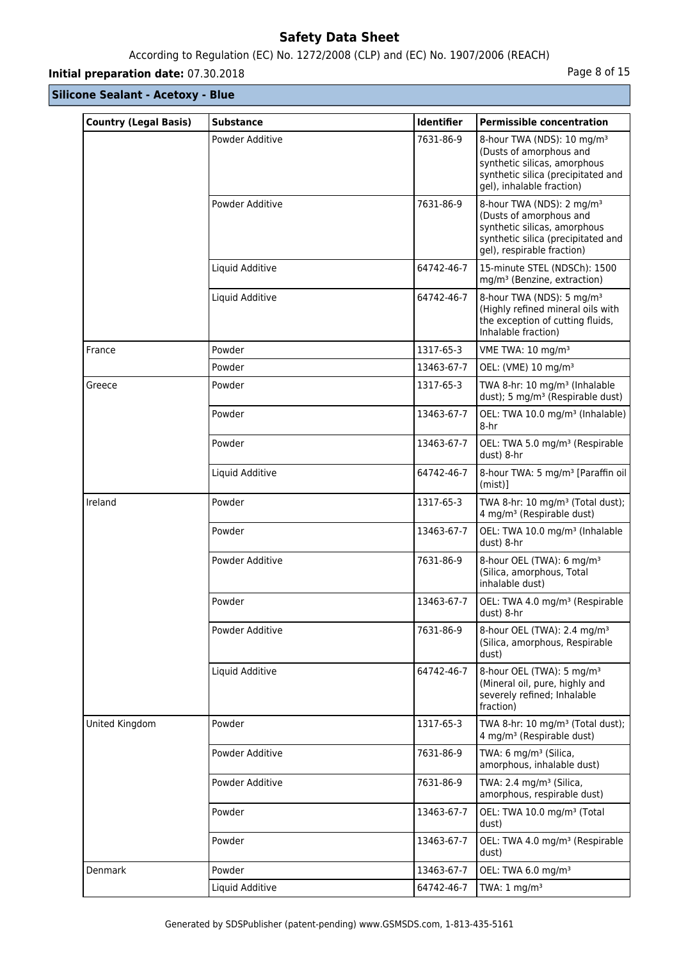## According to Regulation (EC) No. 1272/2008 (CLP) and (EC) No. 1907/2006 (REACH)

## **Initial preparation date:** 07.30.2018 **Page 8 of 15**

| <b>Country (Legal Basis)</b> | <b>Substance</b> | Identifier | <b>Permissible concentration</b>                                                                                                                                     |
|------------------------------|------------------|------------|----------------------------------------------------------------------------------------------------------------------------------------------------------------------|
|                              | Powder Additive  | 7631-86-9  | 8-hour TWA (NDS): 10 mg/m <sup>3</sup><br>(Dusts of amorphous and<br>synthetic silicas, amorphous<br>synthetic silica (precipitated and<br>gel), inhalable fraction) |
|                              | Powder Additive  | 7631-86-9  | 8-hour TWA (NDS): 2 mg/m <sup>3</sup><br>(Dusts of amorphous and<br>synthetic silicas, amorphous<br>synthetic silica (precipitated and<br>gel), respirable fraction) |
|                              | Liquid Additive  | 64742-46-7 | 15-minute STEL (NDSCh): 1500<br>mg/m <sup>3</sup> (Benzine, extraction)                                                                                              |
|                              | Liquid Additive  | 64742-46-7 | 8-hour TWA (NDS): 5 mg/m <sup>3</sup><br>(Highly refined mineral oils with<br>the exception of cutting fluids,<br>Inhalable fraction)                                |
| France                       | Powder           | 1317-65-3  | VME TWA: 10 mg/m <sup>3</sup>                                                                                                                                        |
|                              | Powder           | 13463-67-7 | OEL: (VME) 10 mg/m <sup>3</sup>                                                                                                                                      |
| Greece                       | Powder           | 1317-65-3  | TWA 8-hr: 10 mg/m <sup>3</sup> (Inhalable<br>dust); 5 mg/m <sup>3</sup> (Respirable dust)                                                                            |
|                              | Powder           | 13463-67-7 | OEL: TWA 10.0 mg/m <sup>3</sup> (Inhalable)<br>8-hr                                                                                                                  |
|                              | Powder           | 13463-67-7 | OEL: TWA 5.0 mg/m <sup>3</sup> (Respirable<br>dust) 8-hr                                                                                                             |
|                              | Liquid Additive  | 64742-46-7 | 8-hour TWA: 5 mg/m <sup>3</sup> [Paraffin oil  <br>$(mist)$ ]                                                                                                        |
| Ireland                      | Powder           | 1317-65-3  | TWA 8-hr: 10 mg/m <sup>3</sup> (Total dust);<br>4 mg/m <sup>3</sup> (Respirable dust)                                                                                |
|                              | Powder           | 13463-67-7 | OEL: TWA 10.0 mg/m <sup>3</sup> (Inhalable<br>dust) 8-hr                                                                                                             |
|                              | Powder Additive  | 7631-86-9  | 8-hour OEL (TWA): 6 mg/m <sup>3</sup><br>(Silica, amorphous, Total<br>inhalable dust)                                                                                |
|                              | Powder           | 13463-67-7 | OEL: TWA 4.0 mg/m <sup>3</sup> (Respirable<br>dust) 8-hr                                                                                                             |
|                              | Powder Additive  | 7631-86-9  | 8-hour OEL (TWA): 2.4 mg/m <sup>3</sup><br>(Silica, amorphous, Respirable<br>dust)                                                                                   |
|                              | Liquid Additive  | 64742-46-7 | 8-hour OEL (TWA): 5 mg/m <sup>3</sup><br>(Mineral oil, pure, highly and<br>severely refined; Inhalable<br>fraction)                                                  |
| United Kingdom               | Powder           | 1317-65-3  | TWA 8-hr: 10 mg/m <sup>3</sup> (Total dust);<br>4 mg/m <sup>3</sup> (Respirable dust)                                                                                |
|                              | Powder Additive  | 7631-86-9  | TWA: 6 mg/m <sup>3</sup> (Silica,<br>amorphous, inhalable dust)                                                                                                      |
|                              | Powder Additive  | 7631-86-9  | TWA: 2.4 mg/m <sup>3</sup> (Silica,<br>amorphous, respirable dust)                                                                                                   |
|                              | Powder           | 13463-67-7 | OEL: TWA 10.0 mg/m <sup>3</sup> (Total<br>dust)                                                                                                                      |
|                              | Powder           | 13463-67-7 | OEL: TWA 4.0 mg/m <sup>3</sup> (Respirable<br>dust)                                                                                                                  |
| Denmark                      | Powder           | 13463-67-7 | OEL: TWA 6.0 mg/m <sup>3</sup>                                                                                                                                       |
|                              | Liquid Additive  | 64742-46-7 | TWA: $1 \text{ mg/m}^3$                                                                                                                                              |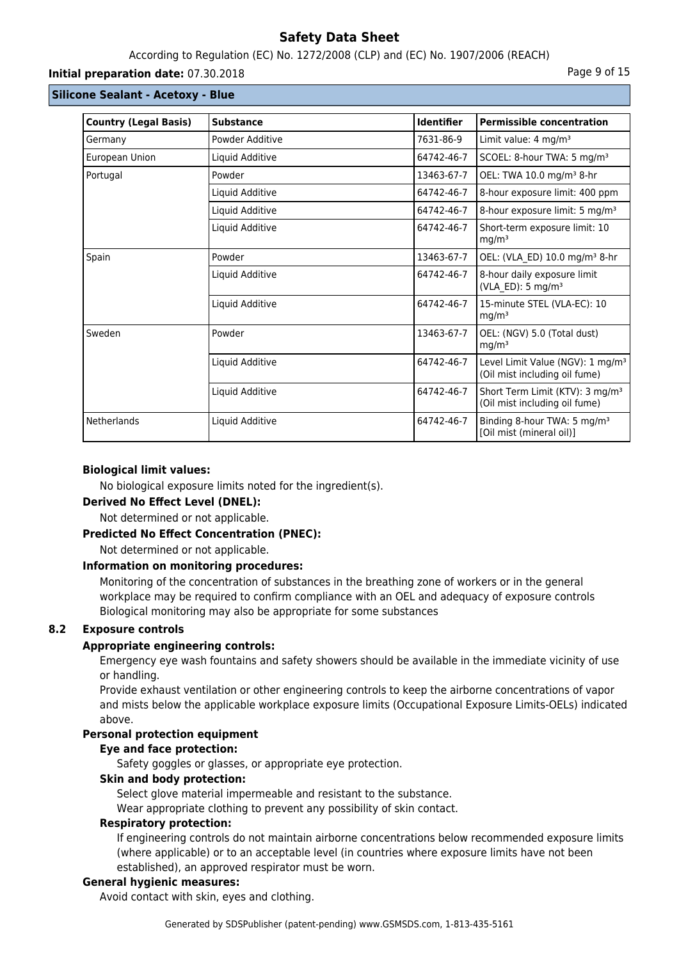### According to Regulation (EC) No. 1272/2008 (CLP) and (EC) No. 1907/2006 (REACH)

#### **Initial preparation date:** 07.30.2018 **Page 9 of 15**

#### **Silicone Sealant - Acetoxy - Blue**

| <b>Country (Legal Basis)</b> | <b>Substance</b> | <b>Identifier</b> | <b>Permissible concentration</b>                                              |
|------------------------------|------------------|-------------------|-------------------------------------------------------------------------------|
| Germany                      | Powder Additive  | 7631-86-9         | Limit value: $4 \text{ mg/m}^3$                                               |
| European Union               | Liquid Additive  | 64742-46-7        | SCOEL: 8-hour TWA: 5 mg/m <sup>3</sup>                                        |
| Portugal                     | Powder           | 13463-67-7        | OEL: TWA 10.0 mg/m <sup>3</sup> 8-hr                                          |
|                              | Liquid Additive  | 64742-46-7        | 8-hour exposure limit: 400 ppm                                                |
|                              | Liquid Additive  | 64742-46-7        | 8-hour exposure limit: 5 mg/m <sup>3</sup>                                    |
|                              | Liquid Additive  | 64742-46-7        | Short-term exposure limit: 10<br>mg/m <sup>3</sup>                            |
| Spain                        | Powder           | 13463-67-7        | OEL: (VLA ED) 10.0 mg/m <sup>3</sup> 8-hr                                     |
|                              | Liquid Additive  | 64742-46-7        | 8-hour daily exposure limit<br>(VLA_ED): 5 mg/m <sup>3</sup>                  |
|                              | Liquid Additive  | 64742-46-7        | 15-minute STEL (VLA-EC): 10<br>mg/m <sup>3</sup>                              |
| Sweden                       | Powder           | 13463-67-7        | OEL: (NGV) 5.0 (Total dust)<br>mg/m <sup>3</sup>                              |
|                              | Liquid Additive  | 64742-46-7        | Level Limit Value (NGV): 1 mg/m <sup>3</sup><br>(Oil mist including oil fume) |
|                              | Liquid Additive  | 64742-46-7        | Short Term Limit (KTV): 3 mg/m <sup>3</sup><br>(Oil mist including oil fume)  |
| Netherlands                  | Liquid Additive  | 64742-46-7        | Binding 8-hour TWA: 5 mg/m <sup>3</sup><br>[Oil mist (mineral oil)]           |

#### **Biological limit values:**

No biological exposure limits noted for the ingredient(s).

#### **Derived No Effect Level (DNEL):**

Not determined or not applicable.

#### **Predicted No Effect Concentration (PNEC):**

Not determined or not applicable.

#### **Information on monitoring procedures:**

Monitoring of the concentration of substances in the breathing zone of workers or in the general workplace may be required to confirm compliance with an OEL and adequacy of exposure controls Biological monitoring may also be appropriate for some substances

### **8.2 Exposure controls**

#### **Appropriate engineering controls:**

Emergency eye wash fountains and safety showers should be available in the immediate vicinity of use or handling.

Provide exhaust ventilation or other engineering controls to keep the airborne concentrations of vapor and mists below the applicable workplace exposure limits (Occupational Exposure Limits-OELs) indicated above.

### **Personal protection equipment**

### **Eye and face protection:**

Safety goggles or glasses, or appropriate eye protection.

### **Skin and body protection:**

Select glove material impermeable and resistant to the substance.

Wear appropriate clothing to prevent any possibility of skin contact.

#### **Respiratory protection:**

If engineering controls do not maintain airborne concentrations below recommended exposure limits (where applicable) or to an acceptable level (in countries where exposure limits have not been established), an approved respirator must be worn.

#### **General hygienic measures:**

Avoid contact with skin, eyes and clothing.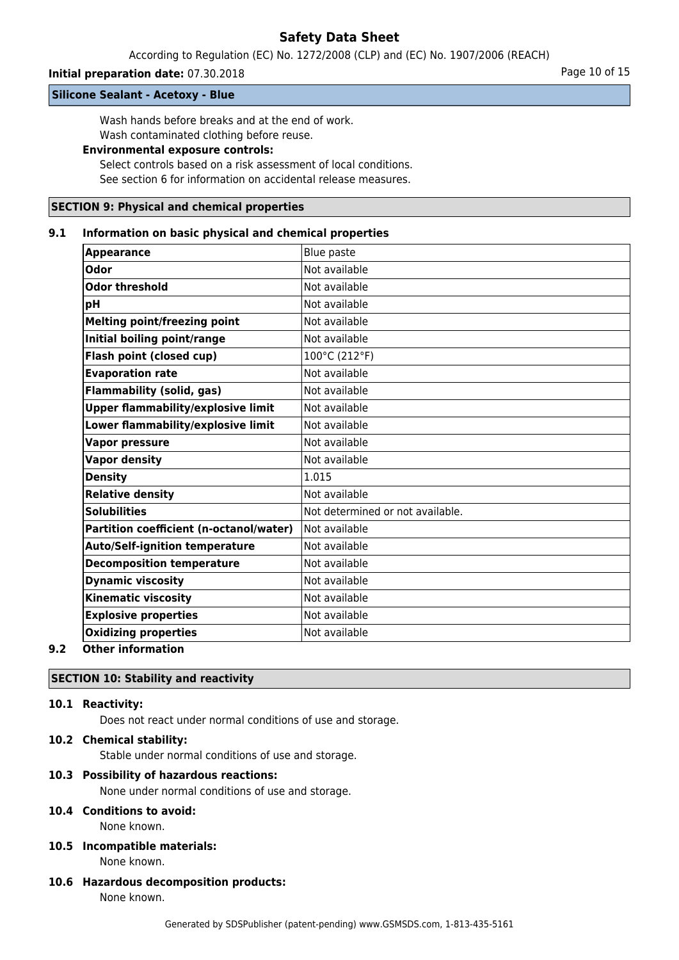According to Regulation (EC) No. 1272/2008 (CLP) and (EC) No. 1907/2006 (REACH)

### **Initial preparation date:** 07.30.2018 **Page 10 of 15** Page 10 of 15

**Silicone Sealant - Acetoxy - Blue**

Wash hands before breaks and at the end of work.

Wash contaminated clothing before reuse.

## **Environmental exposure controls:**

Select controls based on a risk assessment of local conditions. See section 6 for information on accidental release measures.

### **SECTION 9: Physical and chemical properties**

#### **9.1 Information on basic physical and chemical properties**

| <b>Appearance</b>                         | Blue paste                       |
|-------------------------------------------|----------------------------------|
| <b>Odor</b>                               | Not available                    |
| <b>Odor threshold</b>                     | Not available                    |
| pH                                        | Not available                    |
| <b>Melting point/freezing point</b>       | Not available                    |
| Initial boiling point/range               | Not available                    |
| Flash point (closed cup)                  | 100°C (212°F)                    |
| <b>Evaporation rate</b>                   | Not available                    |
| <b>Flammability (solid, gas)</b>          | Not available                    |
| <b>Upper flammability/explosive limit</b> | Not available                    |
| Lower flammability/explosive limit        | Not available                    |
| <b>Vapor pressure</b>                     | Not available                    |
| <b>Vapor density</b>                      | Not available                    |
| <b>Density</b>                            | 1.015                            |
| <b>Relative density</b>                   | Not available                    |
| <b>Solubilities</b>                       | Not determined or not available. |
| Partition coefficient (n-octanol/water)   | lNot available                   |
| <b>Auto/Self-ignition temperature</b>     | Not available                    |
| <b>Decomposition temperature</b>          | Not available                    |
| <b>Dynamic viscosity</b>                  | Not available                    |
| <b>Kinematic viscosity</b>                | Not available                    |
| <b>Explosive properties</b>               | Not available                    |
| <b>Oxidizing properties</b>               | Not available                    |
| Othau infaumatian                         |                                  |

#### **9.2 Other information**

### **SECTION 10: Stability and reactivity**

### **10.1 Reactivity:**

Does not react under normal conditions of use and storage.

### **10.2 Chemical stability:**

Stable under normal conditions of use and storage.

#### **10.3 Possibility of hazardous reactions:**

None under normal conditions of use and storage.

### **10.4 Conditions to avoid:**

None known.

#### **10.5 Incompatible materials:** None known.

**10.6 Hazardous decomposition products:** None known.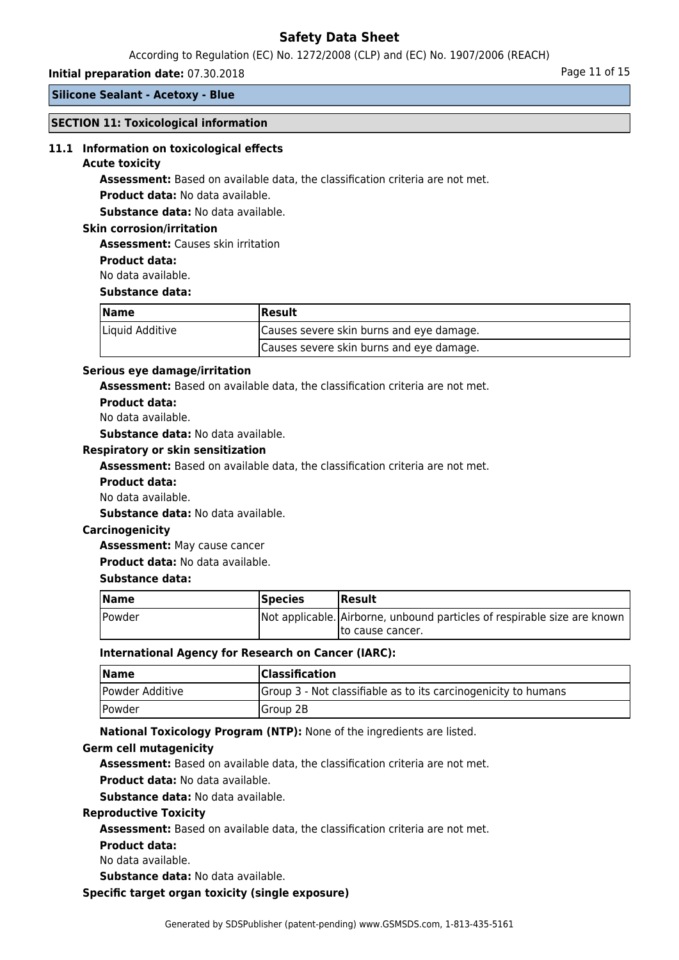According to Regulation (EC) No. 1272/2008 (CLP) and (EC) No. 1907/2006 (REACH)

### **Initial preparation date:** 07.30.2018 **Page 11 of 15**

### **Silicone Sealant - Acetoxy - Blue**

#### **SECTION 11: Toxicological information**

#### **11.1 Information on toxicological effects**

#### **Acute toxicity**

**Assessment:** Based on available data, the classification criteria are not met.

**Product data:** No data available.

**Substance data:** No data available.

#### **Skin corrosion/irritation**

**Assessment:** Causes skin irritation

#### **Product data:**

No data available.

#### **Substance data:**

| <b>Name</b>     | Result                                   |  |
|-----------------|------------------------------------------|--|
| Liquid Additive | Causes severe skin burns and eye damage. |  |
|                 | Causes severe skin burns and eye damage. |  |

#### **Serious eye damage/irritation**

**Assessment:** Based on available data, the classification criteria are not met.

**Product data:**

### No data available.

**Substance data:** No data available.

#### **Respiratory or skin sensitization**

**Assessment:** Based on available data, the classification criteria are not met.

#### **Product data:**

No data available.

**Substance data:** No data available.

#### **Carcinogenicity**

**Assessment:** May cause cancer

**Product data:** No data available.

#### **Substance data:**

| <b>Name</b> | <b>Species</b> | <b>IResult</b>                                                           |
|-------------|----------------|--------------------------------------------------------------------------|
| Powder      |                | Not applicable. Airborne, unbound particles of respirable size are known |
|             |                | Ito cause cancer.                                                        |

#### **International Agency for Research on Cancer (IARC):**

| Name            | <b>Classification</b>                                          |
|-----------------|----------------------------------------------------------------|
| Powder Additive | Group 3 - Not classifiable as to its carcinogenicity to humans |
| Powder          | Group 2B                                                       |

**National Toxicology Program (NTP):** None of the ingredients are listed.

#### **Germ cell mutagenicity**

**Assessment:** Based on available data, the classification criteria are not met.

**Product data:** No data available.

**Substance data:** No data available.

#### **Reproductive Toxicity**

**Assessment:** Based on available data, the classification criteria are not met.

#### **Product data:**

No data available.

**Substance data:** No data available.

#### **Specific target organ toxicity (single exposure)**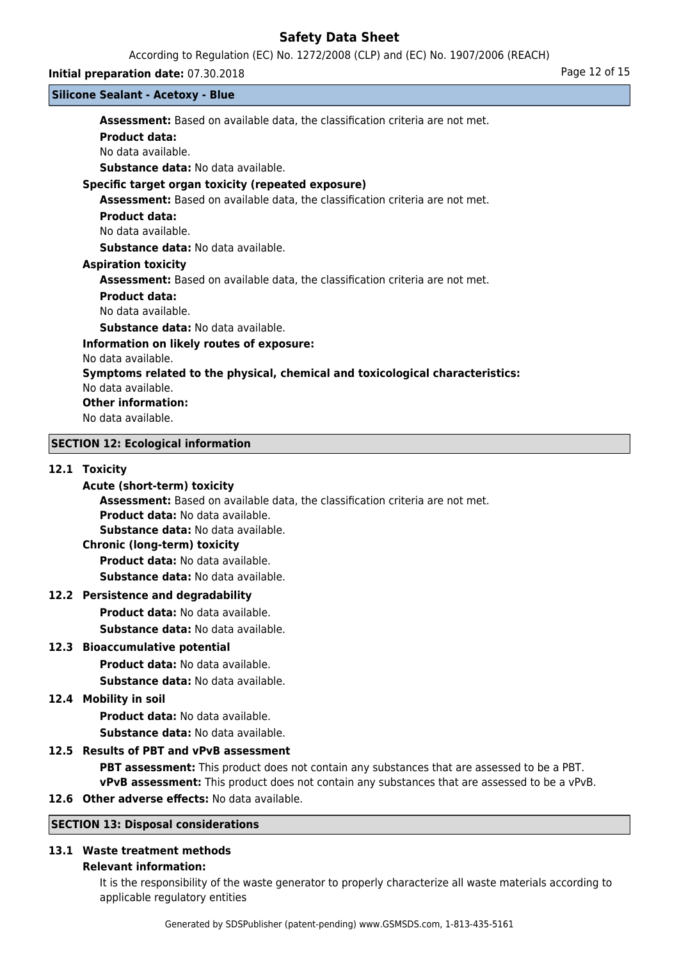According to Regulation (EC) No. 1272/2008 (CLP) and (EC) No. 1907/2006 (REACH)

#### **Initial preparation date:** 07.30.2018 **Page 12 of 15**

#### **Silicone Sealant - Acetoxy - Blue**

**Assessment:** Based on available data, the classification criteria are not met. **Product data:** No data available. **Substance data:** No data available. **Specific target organ toxicity (repeated exposure)**

**Assessment:** Based on available data, the classification criteria are not met.

### **Product data:**

No data available.

**Substance data:** No data available.

#### **Aspiration toxicity**

**Assessment:** Based on available data, the classification criteria are not met.

### **Product data:**

No data available.

**Substance data:** No data available.

### **Information on likely routes of exposure:**

No data available.

### **Symptoms related to the physical, chemical and toxicological characteristics:**

No data available.

### **Other information:**

No data available.

### **SECTION 12: Ecological information**

### **12.1 Toxicity**

### **Acute (short-term) toxicity**

**Assessment:** Based on available data, the classification criteria are not met.

**Product data:** No data available.

**Substance data:** No data available.

### **Chronic (long-term) toxicity**

**Product data:** No data available.

**Substance data:** No data available.

### **12.2 Persistence and degradability**

**Product data:** No data available.

**Substance data:** No data available.

### **12.3 Bioaccumulative potential**

**Product data:** No data available.

**Substance data:** No data available.

### **12.4 Mobility in soil**

**Product data:** No data available. **Substance data:** No data available.

### **12.5 Results of PBT and vPvB assessment**

**PBT assessment:** This product does not contain any substances that are assessed to be a PBT. **vPvB assessment:** This product does not contain any substances that are assessed to be a vPvB.

### **12.6 Other adverse effects:** No data available.

### **SECTION 13: Disposal considerations**

### **13.1 Waste treatment methods**

#### **Relevant information:**

It is the responsibility of the waste generator to properly characterize all waste materials according to applicable regulatory entities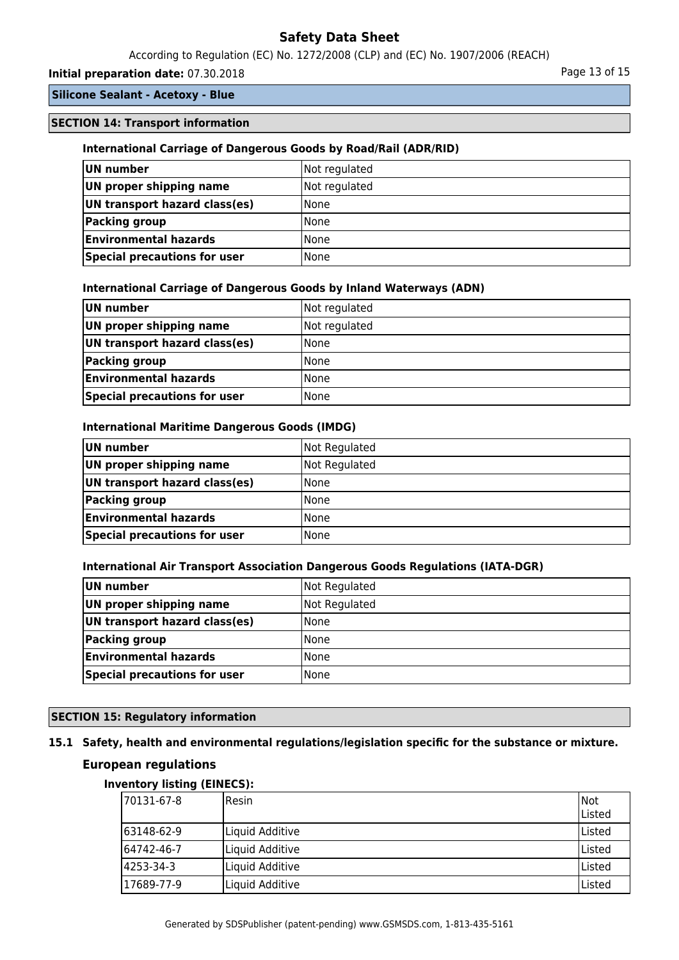According to Regulation (EC) No. 1272/2008 (CLP) and (EC) No. 1907/2006 (REACH)

### **Initial preparation date:** 07.30.2018 **Page 13 of 15** Page 13 of 15

### **Silicone Sealant - Acetoxy - Blue**

### **SECTION 14: Transport information**

### **International Carriage of Dangerous Goods by Road/Rail (ADR/RID)**

| UN number                     | Not regulated |
|-------------------------------|---------------|
| UN proper shipping name       | Not regulated |
| UN transport hazard class(es) | l None        |
| Packing group                 | <b>None</b>   |
| <b>Environmental hazards</b>  | l None        |
| Special precautions for user  | l None        |

### **International Carriage of Dangerous Goods by Inland Waterways (ADN)**

| UN number                     | Not regulated |
|-------------------------------|---------------|
| UN proper shipping name       | Not regulated |
| UN transport hazard class(es) | <b>None</b>   |
| Packing group                 | <b>None</b>   |
| <b>Environmental hazards</b>  | <b>None</b>   |
| Special precautions for user  | l None        |

#### **International Maritime Dangerous Goods (IMDG)**

| UN number                     | Not Regulated |
|-------------------------------|---------------|
| UN proper shipping name       | Not Regulated |
| UN transport hazard class(es) | <b>None</b>   |
| <b>Packing group</b>          | <b>None</b>   |
| <b>Environmental hazards</b>  | <b>None</b>   |
| Special precautions for user  | l None        |

#### **International Air Transport Association Dangerous Goods Regulations (IATA-DGR)**

| UN number                     | Not Regulated |
|-------------------------------|---------------|
| UN proper shipping name       | Not Regulated |
| UN transport hazard class(es) | l None        |
| Packing group                 | l None        |
| <b>Environmental hazards</b>  | l None        |
| Special precautions for user  | <b>None</b>   |

### **SECTION 15: Regulatory information**

# **15.1 Safety, health and environmental regulations/legislation specific for the substance or mixture.**

### **European regulations**

### **Inventory listing (EINECS):**

| 70131-67-8  | <b>I</b> Resin  | Not<br>Listed |
|-------------|-----------------|---------------|
| 163148-62-9 | Liquid Additive | lListed       |
| 164742-46-7 | Liquid Additive | Listed        |
| 4253-34-3   | Liquid Additive | Listed        |
| 17689-77-9  | Liquid Additive | Listed        |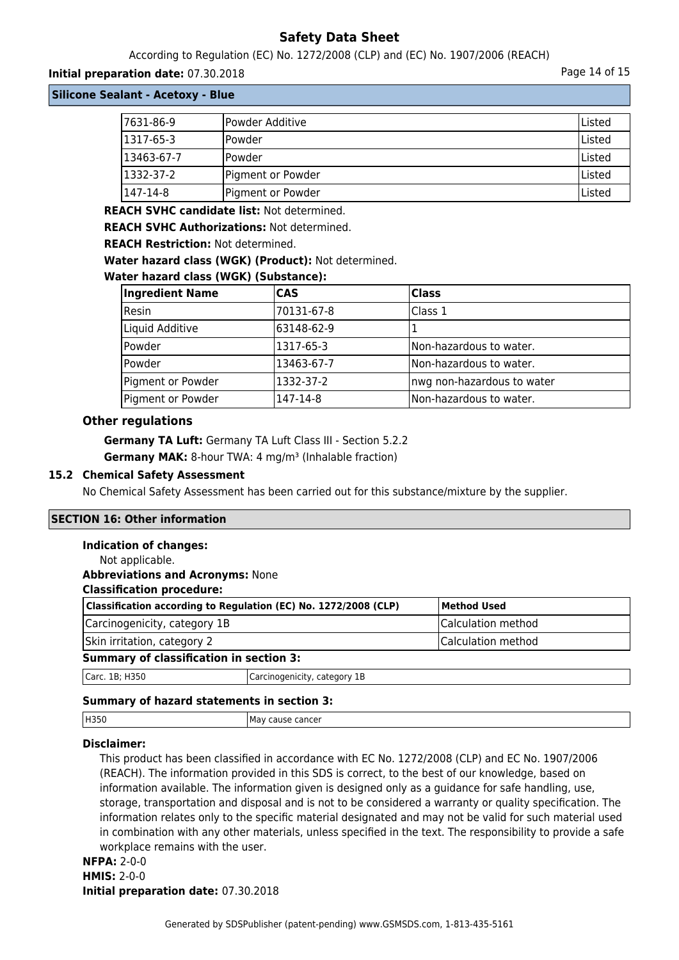According to Regulation (EC) No. 1272/2008 (CLP) and (EC) No. 1907/2006 (REACH)

### **Initial preparation date:** 07.30.2018 **Page 14 of 15**

**Silicone Sealant - Acetoxy - Blue**

| 7631-86-9  | Powder Additive   | Listed |
|------------|-------------------|--------|
| 1317-65-3  | lPowder           | Listed |
| 13463-67-7 | lPowder           | Listed |
| 1332-37-2  | Pigment or Powder | Listed |
| 147-14-8   | Pigment or Powder | Listed |

**REACH SVHC candidate list:** Not determined.

**REACH SVHC Authorizations:** Not determined.

**REACH Restriction:** Not determined.

**Water hazard class (WGK) (Product):** Not determined.

### **Water hazard class (WGK) (Substance):**

| <b>Ingredient Name</b> | <b>CAS</b> | <b>Class</b>               |
|------------------------|------------|----------------------------|
| Resin                  | 70131-67-8 | Class 1                    |
| Liquid Additive        | 63148-62-9 |                            |
| Powder                 | 1317-65-3  | Non-hazardous to water.    |
| Powder                 | 13463-67-7 | Non-hazardous to water.    |
| Pigment or Powder      | 1332-37-2  | nwg non-hazardous to water |
| Pigment or Powder      | 147-14-8   | Non-hazardous to water.    |

### **Other regulations**

**Germany TA Luft:** Germany TA Luft Class III - Section 5.2.2 **Germany MAK:** 8-hour TWA: 4 mg/m<sup>3</sup> (Inhalable fraction)

### **15.2 Chemical Safety Assessment**

No Chemical Safety Assessment has been carried out for this substance/mixture by the supplier.

### **SECTION 16: Other information**

#### **Indication of changes:**

| Not applicable.                                                 |                              |                    |
|-----------------------------------------------------------------|------------------------------|--------------------|
| <b>Abbreviations and Acronyms: None</b>                         |                              |                    |
| <b>Classification procedure:</b>                                |                              |                    |
| Classification according to Regulation (EC) No. 1272/2008 (CLP) |                              | <b>Method Used</b> |
| Carcinogenicity, category 1B                                    |                              | Calculation method |
| Skin irritation, category 2                                     |                              | Calculation method |
| <b>Summary of classification in section 3:</b>                  |                              |                    |
| Carc. 1B; H350                                                  | Carcinogenicity, category 1B |                    |
|                                                                 |                              |                    |

### **Summary of hazard statements in section 3:**

| H350 | cause cancer<br>ма<br>$\cdot$ |
|------|-------------------------------|
|      |                               |

### **Disclaimer:**

This product has been classified in accordance with EC No. 1272/2008 (CLP) and EC No. 1907/2006 (REACH). The information provided in this SDS is correct, to the best of our knowledge, based on information available. The information given is designed only as a guidance for safe handling, use, storage, transportation and disposal and is not to be considered a warranty or quality specification. The information relates only to the specific material designated and may not be valid for such material used in combination with any other materials, unless specified in the text. The responsibility to provide a safe workplace remains with the user.

### **NFPA:** 2-0-0 **HMIS:** 2-0-0 **Initial preparation date:** 07.30.2018